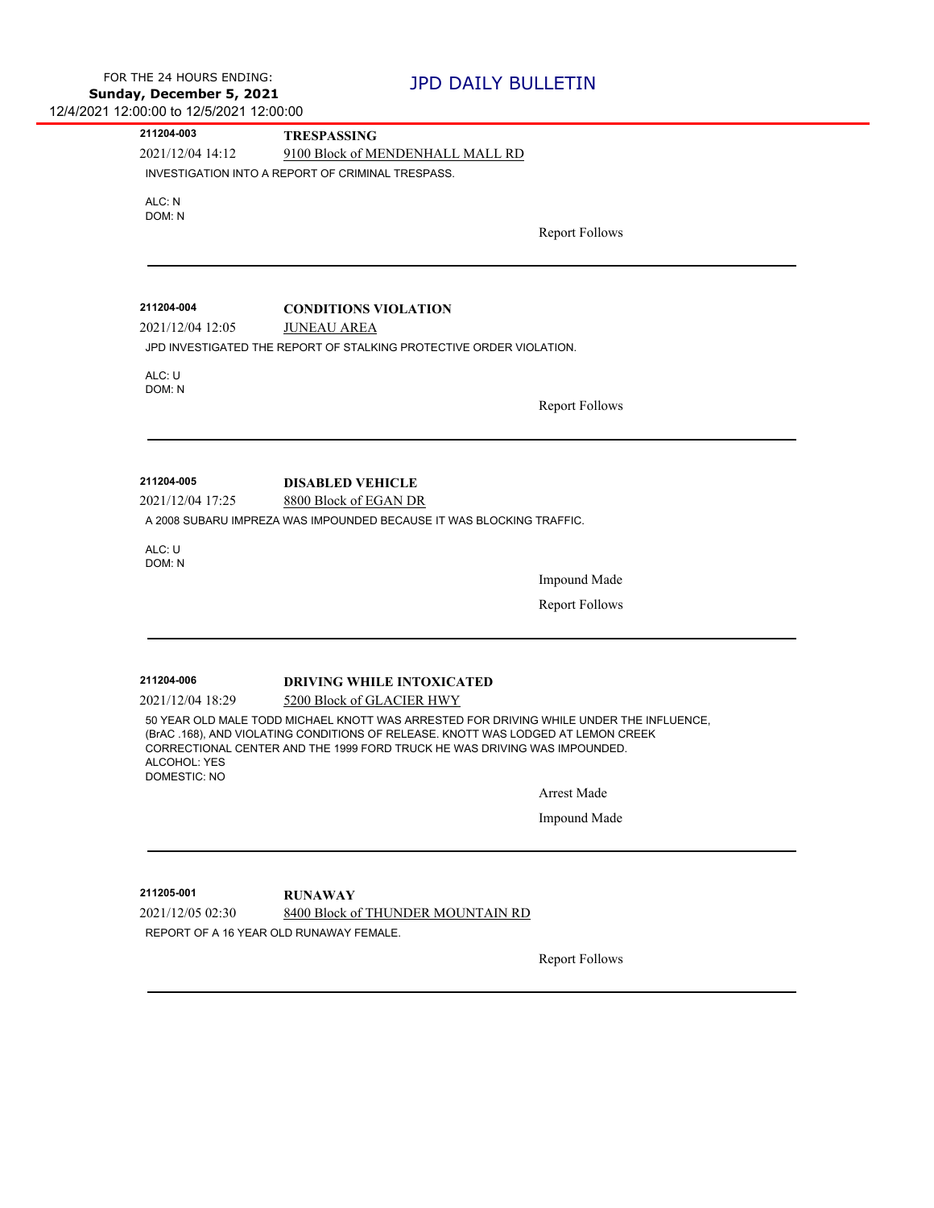| 211204-003          | <b>TRESPASSING</b>                                                                                                                                                                                                                                        |                       |
|---------------------|-----------------------------------------------------------------------------------------------------------------------------------------------------------------------------------------------------------------------------------------------------------|-----------------------|
| 2021/12/04 14:12    | 9100 Block of MENDENHALL MALL RD                                                                                                                                                                                                                          |                       |
|                     | INVESTIGATION INTO A REPORT OF CRIMINAL TRESPASS.                                                                                                                                                                                                         |                       |
| ALC: N              |                                                                                                                                                                                                                                                           |                       |
| DOM: N              |                                                                                                                                                                                                                                                           |                       |
|                     |                                                                                                                                                                                                                                                           | <b>Report Follows</b> |
|                     |                                                                                                                                                                                                                                                           |                       |
| 211204-004          |                                                                                                                                                                                                                                                           |                       |
|                     | <b>CONDITIONS VIOLATION</b>                                                                                                                                                                                                                               |                       |
| 2021/12/04 12:05    | <b>JUNEAU AREA</b><br>JPD INVESTIGATED THE REPORT OF STALKING PROTECTIVE ORDER VIOLATION.                                                                                                                                                                 |                       |
|                     |                                                                                                                                                                                                                                                           |                       |
| ALC: U<br>DOM: N    |                                                                                                                                                                                                                                                           |                       |
|                     |                                                                                                                                                                                                                                                           | <b>Report Follows</b> |
|                     |                                                                                                                                                                                                                                                           |                       |
|                     |                                                                                                                                                                                                                                                           |                       |
| 211204-005          | <b>DISABLED VEHICLE</b>                                                                                                                                                                                                                                   |                       |
| 2021/12/04 17:25    | 8800 Block of EGAN DR                                                                                                                                                                                                                                     |                       |
|                     | A 2008 SUBARU IMPREZA WAS IMPOUNDED BECAUSE IT WAS BLOCKING TRAFFIC.                                                                                                                                                                                      |                       |
| ALC: U              |                                                                                                                                                                                                                                                           |                       |
| DOM: N              |                                                                                                                                                                                                                                                           |                       |
|                     |                                                                                                                                                                                                                                                           | Impound Made          |
|                     |                                                                                                                                                                                                                                                           | <b>Report Follows</b> |
|                     |                                                                                                                                                                                                                                                           |                       |
|                     |                                                                                                                                                                                                                                                           |                       |
| 211204-006          | <b>DRIVING WHILE INTOXICATED</b>                                                                                                                                                                                                                          |                       |
| 2021/12/04 18:29    | 5200 Block of GLACIER HWY                                                                                                                                                                                                                                 |                       |
| ALCOHOL: YES        | 50 YEAR OLD MALE TODD MICHAEL KNOTT WAS ARRESTED FOR DRIVING WHILE UNDER THE INFLUENCE,<br>(BrAC .168), AND VIOLATING CONDITIONS OF RELEASE. KNOTT WAS LODGED AT LEMON CREEK<br>CORRECTIONAL CENTER AND THE 1999 FORD TRUCK HE WAS DRIVING WAS IMPOUNDED. |                       |
| <b>DOMESTIC: NO</b> |                                                                                                                                                                                                                                                           | Arrest Made           |
|                     |                                                                                                                                                                                                                                                           | Impound Made          |
|                     |                                                                                                                                                                                                                                                           |                       |
|                     |                                                                                                                                                                                                                                                           |                       |
| 211205-001          | <b>RUNAWAY</b>                                                                                                                                                                                                                                            |                       |
| 2021/12/05 02:30    | 8400 Block of THUNDER MOUNTAIN RD                                                                                                                                                                                                                         |                       |
|                     | REPORT OF A 16 YEAR OLD RUNAWAY FEMALE.                                                                                                                                                                                                                   |                       |
|                     |                                                                                                                                                                                                                                                           |                       |
|                     |                                                                                                                                                                                                                                                           | <b>Report Follows</b> |